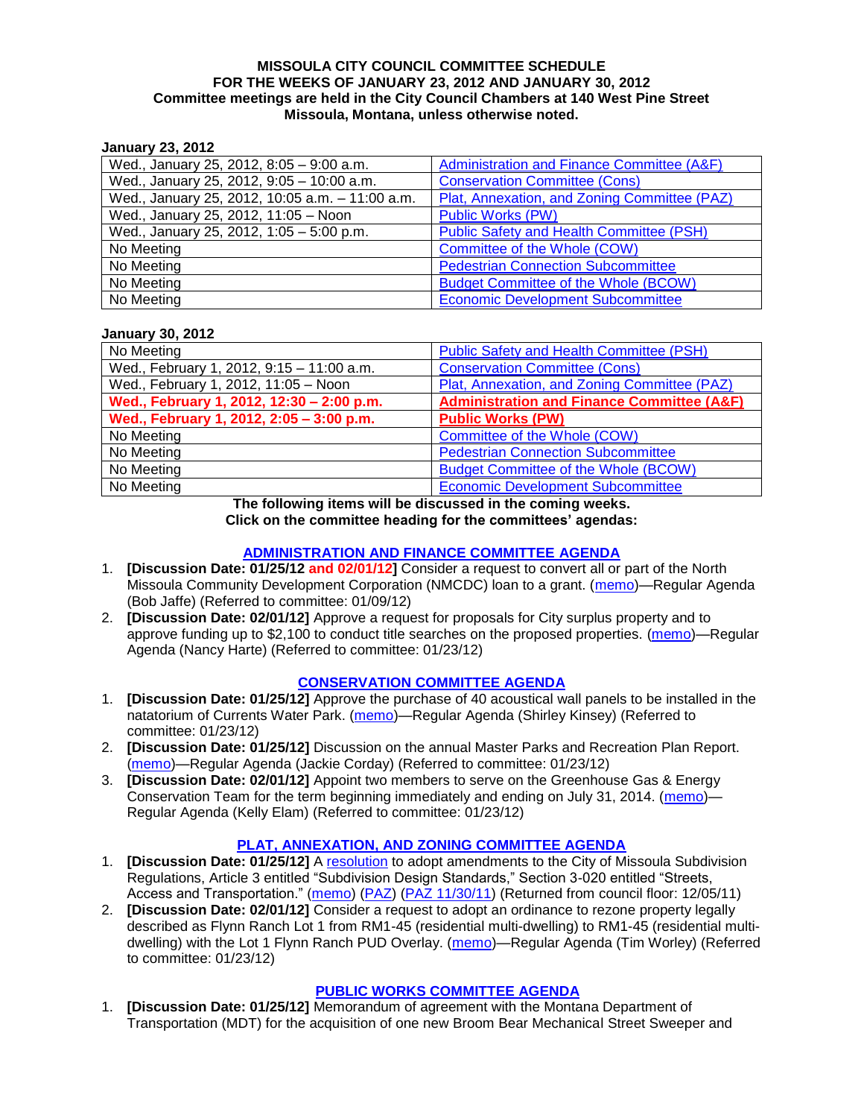#### **MISSOULA CITY COUNCIL COMMITTEE SCHEDULE FOR THE WEEKS OF JANUARY 23, 2012 AND JANUARY 30, 2012 Committee meetings are held in the City Council Chambers at 140 West Pine Street Missoula, Montana, unless otherwise noted.**

# **January 23, 2012**

| Wed., January 25, 2012, 8:05 - 9:00 a.m.        | Administration and Finance Committee (A&F)      |
|-------------------------------------------------|-------------------------------------------------|
| Wed., January 25, 2012, 9:05 - 10:00 a.m.       | <b>Conservation Committee (Cons)</b>            |
| Wed., January 25, 2012, 10:05 a.m. - 11:00 a.m. | Plat, Annexation, and Zoning Committee (PAZ)    |
| Wed., January 25, 2012, 11:05 - Noon            | <b>Public Works (PW)</b>                        |
| Wed., January 25, 2012, 1:05 - 5:00 p.m.        | <b>Public Safety and Health Committee (PSH)</b> |
| No Meeting                                      | Committee of the Whole (COW)                    |
| No Meeting                                      | <b>Pedestrian Connection Subcommittee</b>       |
| No Meeting                                      | <b>Budget Committee of the Whole (BCOW)</b>     |
| No Meeting                                      | <b>Economic Development Subcommittee</b>        |

# **January 30, 2012**

| No Meeting                                | <b>Public Safety and Health Committee (PSH)</b>       |
|-------------------------------------------|-------------------------------------------------------|
| Wed., February 1, 2012, 9:15 - 11:00 a.m. | <b>Conservation Committee (Cons)</b>                  |
| Wed., February 1, 2012, 11:05 - Noon      | Plat, Annexation, and Zoning Committee (PAZ)          |
| Wed., February 1, 2012, 12:30 - 2:00 p.m. | <b>Administration and Finance Committee (A&amp;F)</b> |
| Wed., February 1, 2012, 2:05 - 3:00 p.m.  | <b>Public Works (PW)</b>                              |
| No Meeting                                | Committee of the Whole (COW)                          |
| No Meeting                                | <b>Pedestrian Connection Subcommittee</b>             |
| No Meeting                                | <b>Budget Committee of the Whole (BCOW)</b>           |
| No Meeting                                | <b>Economic Development Subcommittee</b>              |

**The following items will be discussed in the coming weeks. Click on the committee heading for the committees' agendas:**

## **[ADMINISTRATION AND FINANCE COMMITTEE](http://www.ci.missoula.mt.us/DocumentCenterii.aspx?FID=830) AGENDA**

- 1. **[Discussion Date: 01/25/12 and 02/01/12]** Consider a request to convert all or part of the North Missoula Community Development Corporation (NMCDC) loan to a grant. [\(memo\)](http://www.ci.missoula.mt.us/DocumentView.aspx?DID=7926)—Regular Agenda (Bob Jaffe) (Referred to committee: 01/09/12)
- 2. **[Discussion Date: 02/01/12]** Approve a request for proposals for City surplus property and to approve funding up to \$2,100 to conduct title searches on the proposed properties. [\(memo\)](http://www.ci.missoula.mt.us/DocumentView.aspx?DID=8007)—Regular Agenda (Nancy Harte) (Referred to committee: 01/23/12)

## **[CONSERVATION COMMITTEE](http://www.ci.missoula.mt.us/DocumentCenterii.aspx?FID=832) AGENDA**

- 1. **[Discussion Date: 01/25/12]** Approve the purchase of 40 acoustical wall panels to be installed in the natatorium of Currents Water Park. [\(memo\)](http://www.ci.missoula.mt.us/DocumentView.aspx?DID=8008)—Regular Agenda (Shirley Kinsey) (Referred to committee: 01/23/12)
- 2. **[Discussion Date: 01/25/12]** Discussion on the annual Master Parks and Recreation Plan Report. [\(memo\)](http://www.ci.missoula.mt.us/DocumentView.aspx?DID=8009)—Regular Agenda (Jackie Corday) (Referred to committee: 01/23/12)
- 3. **[Discussion Date: 02/01/12]** Appoint two members to serve on the Greenhouse Gas & Energy Conservation Team for the term beginning immediately and ending on July 31, 2014. [\(memo\)](http://www.ci.missoula.mt.us/DocumentView.aspx?DID=8010)— Regular Agenda (Kelly Elam) (Referred to committee: 01/23/12)

## **[PLAT, ANNEXATION, AND ZONING COMMITTEE AGENDA](http://www.ci.missoula.mt.us/DocumentCenterii.aspx?FID=831)**

- 1. **[Discussion Date: 01/25/12]** A [resolution](http://www.ci.missoula.mt.us/DocumentView.aspx?DID=7484) to adopt amendments to the City of Missoula Subdivision Regulations, Article 3 entitled "Subdivision Design Standards," Section 3-020 entitled "Streets, Access and Transportation." [\(memo\)](http://www.ci.missoula.mt.us/DocumentView.aspx?DID=7491) [\(PAZ\)](http://www.ci.missoula.mt.us/Archive.aspx?ADID=4684) [\(PAZ 11/30/11\)](http://www.ci.missoula.mt.us/Archive.aspx?ADID=4786) (Returned from council floor: 12/05/11)
- 2. **[Discussion Date: 02/01/12]** Consider a request to adopt an ordinance to rezone property legally described as Flynn Ranch Lot 1 from RM1-45 (residential multi-dwelling) to RM1-45 (residential multidwelling) with the Lot 1 Flynn Ranch PUD Overlay. [\(memo\)](http://www.ci.missoula.mt.us/DocumentView.aspx?DID=8011)—Regular Agenda (Tim Worley) (Referred to committee: 01/23/12)

## **[PUBLIC WORKS COMMITTEE](http://www.ci.missoula.mt.us/DocumentCenterii.aspx?FID=833) AGENDA**

1. **[Discussion Date: 01/25/12]** Memorandum of agreement with the Montana Department of Transportation (MDT) for the acquisition of one new Broom Bear Mechanical Street Sweeper and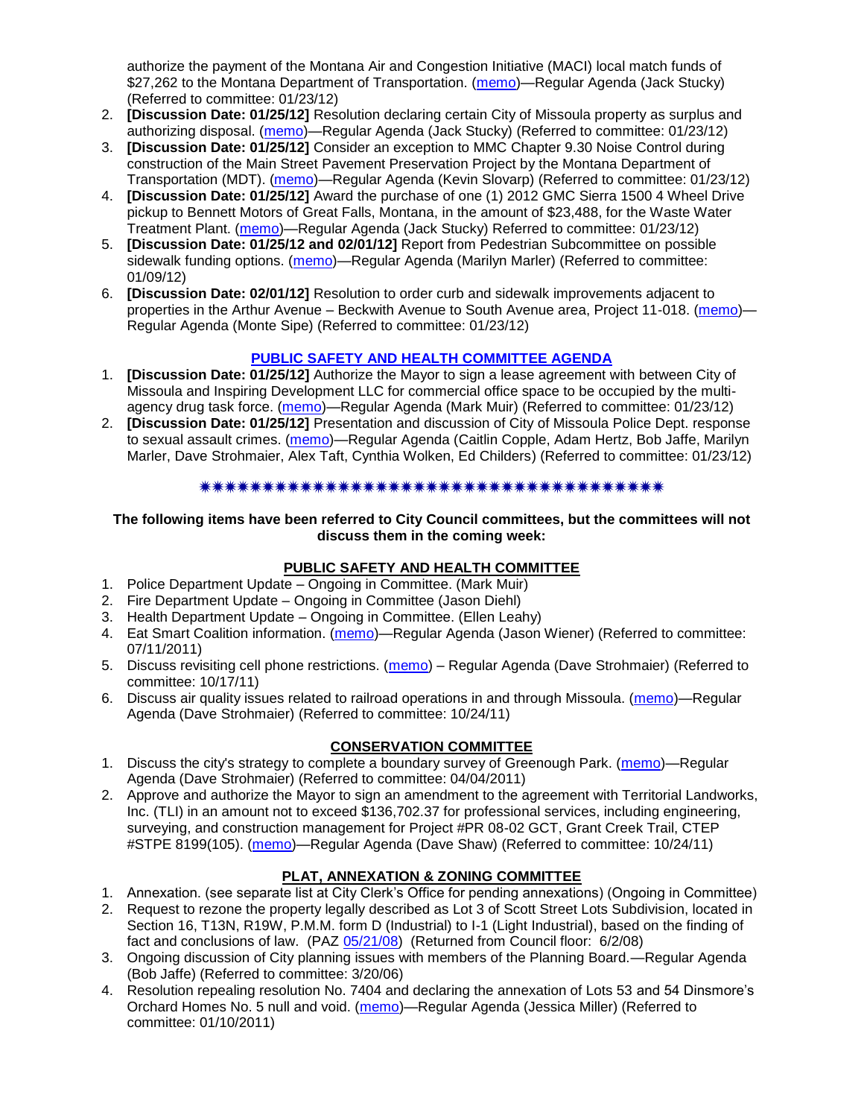authorize the payment of the Montana Air and Congestion Initiative (MACI) local match funds of \$27,262 to the Montana Department of Transportation. [\(memo\)](http://www.ci.missoula.mt.us/DocumentView.aspx?DID=8014)—Regular Agenda (Jack Stucky) (Referred to committee: 01/23/12)

- 2. **[Discussion Date: 01/25/12]** Resolution declaring certain City of Missoula property as surplus and authorizing disposal. [\(memo\)](http://www.ci.missoula.mt.us/DocumentView.aspx?DID=8017)—Regular Agenda (Jack Stucky) (Referred to committee: 01/23/12)
- 3. **[Discussion Date: 01/25/12]** Consider an exception to MMC Chapter 9.30 Noise Control during construction of the Main Street Pavement Preservation Project by the Montana Department of Transportation (MDT). [\(memo\)](http://www.ci.missoula.mt.us/DocumentView.aspx?DID=8015)—Regular Agenda (Kevin Slovarp) (Referred to committee: 01/23/12)
- 4. **[Discussion Date: 01/25/12]** Award the purchase of one (1) 2012 GMC Sierra 1500 4 Wheel Drive pickup to Bennett Motors of Great Falls, Montana, in the amount of \$23,488, for the Waste Water Treatment Plant. [\(memo\)](http://www.ci.missoula.mt.us/DocumentView.aspx?DID=8018)—Regular Agenda (Jack Stucky) Referred to committee: 01/23/12)
- 5. **[Discussion Date: 01/25/12 and 02/01/12]** Report from Pedestrian Subcommittee on possible sidewalk funding options. [\(memo\)](http://www.ci.missoula.mt.us/DocumentView.aspx?DID=7922)—Regular Agenda (Marilyn Marler) (Referred to committee: 01/09/12)
- 6. **[Discussion Date: 02/01/12]** Resolution to order curb and sidewalk improvements adjacent to properties in the Arthur Avenue – Beckwith Avenue to South Avenue area, Project 11-018. [\(memo\)](http://www.ci.missoula.mt.us/DocumentView.aspx?DID=8016)-Regular Agenda (Monte Sipe) (Referred to committee: 01/23/12)

# **[PUBLIC SAFETY AND HEALTH COMMITTEE AGENDA](http://www.ci.missoula.mt.us/DocumentCenterii.aspx?FID=836)**

- 1. **[Discussion Date: 01/25/12]** Authorize the Mayor to sign a lease agreement with between City of Missoula and Inspiring Development LLC for commercial office space to be occupied by the multi-agency drug task force. [\(memo\)](http://www.ci.missoula.mt.us/DocumentView.aspx?DID=8012)—Regular Agenda (Mark Muir) (Referred to committee: 01/23/12)
- 2. **[Discussion Date: 01/25/12]** Presentation and discussion of City of Missoula Police Dept. response to sexual assault crimes. [\(memo\)](http://www.ci.missoula.mt.us/DocumentView.aspx?DID=8013)—Regular Agenda (Caitlin Copple, Adam Hertz, Bob Jaffe, Marilyn Marler, Dave Strohmaier, Alex Taft, Cynthia Wolken, Ed Childers) (Referred to committee: 01/23/12)

#### \*\*\*\*\*\*\*\*\*\*\*\*\*\*\*\*\*\*\*\*\*\*\*\*\*\*\*\*\*\*\*\*\*\*\*\*

#### **The following items have been referred to City Council committees, but the committees will not discuss them in the coming week:**

## **PUBLIC SAFETY AND HEALTH COMMITTEE**

- 1. Police Department Update Ongoing in Committee. (Mark Muir)
- 2. Fire Department Update Ongoing in Committee (Jason Diehl)
- 3. Health Department Update Ongoing in Committee. (Ellen Leahy)
- 4. Eat Smart Coalition information. [\(memo\)](http://www.ci.missoula.mt.us/DocumentView.aspx?DID=6776)—Regular Agenda (Jason Wiener) (Referred to committee: 07/11/2011)
- 5. Discuss revisiting cell phone restrictions. [\(memo\)](http://www.ci.missoula.mt.us/DocumentView.aspx?DID=7420) Regular Agenda (Dave Strohmaier) (Referred to committee: 10/17/11)
- 6. Discuss air quality issues related to railroad operations in and through Missoula. [\(memo\)](http://www.ci.missoula.mt.us/DocumentView.aspx?DID=7495)—Regular Agenda (Dave Strohmaier) (Referred to committee: 10/24/11)

# **CONSERVATION COMMITTEE**

- 1. Discuss the city's strategy to complete a boundary survey of Greenough Park. [\(memo\)](http://www.ci.missoula.mt.us/DocumentView.aspx?DID=5875)—Regular Agenda (Dave Strohmaier) (Referred to committee: 04/04/2011)
- 2. Approve and authorize the Mayor to sign an amendment to the agreement with Territorial Landworks, Inc. (TLI) in an amount not to exceed \$136,702.37 for professional services, including engineering, surveying, and construction management for Project #PR 08-02 GCT, Grant Creek Trail, CTEP #STPE 8199(105). [\(memo\)](http://www.ci.missoula.mt.us/DocumentView.aspx?DID=7494)—Regular Agenda (Dave Shaw) (Referred to committee: 10/24/11)

# **PLAT, ANNEXATION & ZONING COMMITTEE**

- 1. Annexation. (see separate list at City Clerk's Office for pending annexations) (Ongoing in Committee)
- 2. Request to rezone the property legally described as Lot 3 of Scott Street Lots Subdivision, located in Section 16, T13N, R19W, P.M.M. form D (Industrial) to I-1 (Light Industrial), based on the finding of fact and conclusions of law. (PAZ [05/21/08\)](ftp://ftp.ci.missoula.mt.us/Packets/Council/2008/2008-06-02/080521paz.pdf) (Returned from Council floor: 6/2/08)
- 3. Ongoing discussion of City planning issues with members of the Planning Board.—Regular Agenda (Bob Jaffe) (Referred to committee: 3/20/06)
- 4. Resolution repealing resolution No. 7404 and declaring the annexation of Lots 53 and 54 Dinsmore's Orchard Homes No. 5 null and void. [\(memo\)](http://www.ci.missoula.mt.us/DocumentView.aspx?DID=5349)—Regular Agenda (Jessica Miller) (Referred to committee: 01/10/2011)